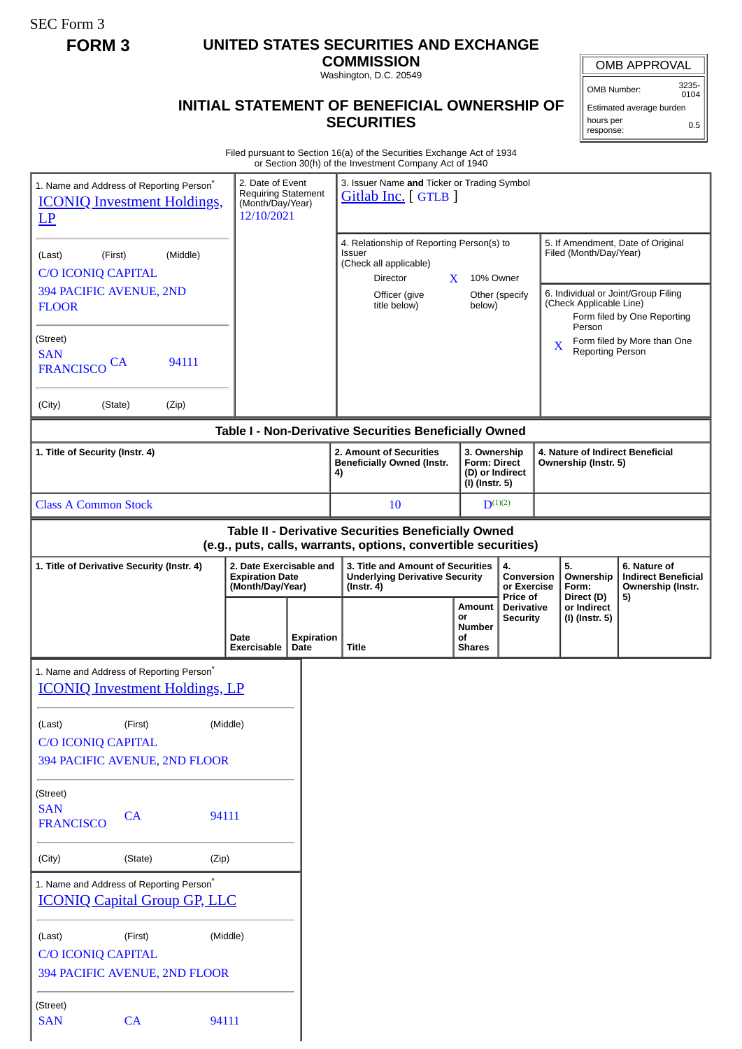SEC Form 3

## **FORM 3 UNITED STATES SECURITIES AND EXCHANGE**

**COMMISSION** Washington, D.C. 20549

## **INITIAL STATEMENT OF BENEFICIAL OWNERSHIP OF SECURITIES**

OMB APPROVAL

OMB Number: 3235- 0104

Estimated average burden hours per response: 0.5

Filed pursuant to Section 16(a) of the Securities Exchange Act of 1934 or Section 30(h) of the Investment Company Act of 1940

| 1. Name and Address of Reporting Person <sup>®</sup><br><b>ICONIQ Investment Holdings,</b><br>LP                      | 2. Date of Event<br><b>Requiring Statement</b><br>(Month/Day/Year)<br>12/10/2021 | 3. Issuer Name and Ticker or Trading Symbol<br>Gitlab Inc. [GTLB ]                                                         |                                                      |                                                  |                      |                                                   |                                                                                                         |
|-----------------------------------------------------------------------------------------------------------------------|----------------------------------------------------------------------------------|----------------------------------------------------------------------------------------------------------------------------|------------------------------------------------------|--------------------------------------------------|----------------------|---------------------------------------------------|---------------------------------------------------------------------------------------------------------|
| (Middle)<br>(First)<br>(Last)<br><b>C/O ICONIQ CAPITAL</b><br>394 PACIFIC AVENUE, 2ND<br><b>FLOOR</b>                 |                                                                                  | 4. Relationship of Reporting Person(s) to<br>Issuer<br>(Check all applicable)<br>Director<br>Officer (give<br>title below) | 10% Owner<br>X.<br>below)                            | Other (specify                                   |                      | Filed (Month/Day/Year)<br>(Check Applicable Line) | 5. If Amendment, Date of Original<br>6. Individual or Joint/Group Filing<br>Form filed by One Reporting |
| (Street)<br><b>SAN</b><br>94111<br><b>CA</b><br><b>FRANCISCO</b>                                                      |                                                                                  |                                                                                                                            |                                                      |                                                  | X                    | Person<br><b>Reporting Person</b>                 | Form filed by More than One                                                                             |
| (City)<br>(State)<br>(Zip)                                                                                            |                                                                                  |                                                                                                                            |                                                      |                                                  |                      |                                                   |                                                                                                         |
| 1. Title of Security (Instr. 4)                                                                                       |                                                                                  | Table I - Non-Derivative Securities Beneficially Owned<br>2. Amount of Securities                                          | 3. Ownership                                         |                                                  |                      |                                                   | 4. Nature of Indirect Beneficial                                                                        |
|                                                                                                                       |                                                                                  | <b>Beneficially Owned (Instr.</b><br><b>Form: Direct</b><br>(D) or Indirect<br>4)<br>(I) (Instr. 5)                        |                                                      |                                                  | Ownership (Instr. 5) |                                                   |                                                                                                         |
| <b>Class A Common Stock</b>                                                                                           |                                                                                  | 10                                                                                                                         |                                                      | $D^{(1)(2)}$                                     |                      |                                                   |                                                                                                         |
| Table II - Derivative Securities Beneficially Owned<br>(e.g., puts, calls, warrants, options, convertible securities) |                                                                                  |                                                                                                                            |                                                      |                                                  |                      |                                                   |                                                                                                         |
| 1. Title of Derivative Security (Instr. 4)                                                                            | 2. Date Exercisable and<br><b>Expiration Date</b><br>(Month/Day/Year)            | 3. Title and Amount of Securities<br><b>Underlying Derivative Security</b><br>$($ Instr. 4 $)$                             |                                                      | 4.<br>Conversion<br>or Exercise                  |                      | 5.<br>Ownership<br>Form:                          | 6. Nature of<br><b>Indirect Beneficial</b><br>Ownership (Instr.                                         |
|                                                                                                                       | <b>Expiration</b><br>Date<br>Date<br>Exercisable                                 | Title                                                                                                                      | Amount<br>or<br><b>Number</b><br>οf<br><b>Shares</b> | Price of<br><b>Derivative</b><br><b>Security</b> |                      | Direct (D)<br>or Indirect<br>(I) (Instr. 5)       | 5)                                                                                                      |
| 1. Name and Address of Reporting Person <sup>*</sup><br><b>ICONIQ Investment Holdings, LP</b>                         |                                                                                  |                                                                                                                            |                                                      |                                                  |                      |                                                   |                                                                                                         |
| (Last)<br>(First)<br>(Middle)<br><b>C/O ICONIQ CAPITAL</b><br>394 PACIFIC AVENUE, 2ND FLOOR                           |                                                                                  |                                                                                                                            |                                                      |                                                  |                      |                                                   |                                                                                                         |
| (Street)<br><b>SAN</b><br>CA<br>94111<br><b>FRANCISCO</b>                                                             |                                                                                  |                                                                                                                            |                                                      |                                                  |                      |                                                   |                                                                                                         |
| (City)<br>(State)<br>(Zip)                                                                                            |                                                                                  |                                                                                                                            |                                                      |                                                  |                      |                                                   |                                                                                                         |
| 1. Name and Address of Reporting Person*<br><b>ICONIQ Capital Group GP, LLC</b>                                       |                                                                                  |                                                                                                                            |                                                      |                                                  |                      |                                                   |                                                                                                         |
| (First)<br>(Middle)<br>(Last)<br><b>C/O ICONIQ CAPITAL</b><br>394 PACIFIC AVENUE, 2ND FLOOR                           |                                                                                  |                                                                                                                            |                                                      |                                                  |                      |                                                   |                                                                                                         |
| (Street)<br><b>SAN</b><br>CA<br>94111                                                                                 |                                                                                  |                                                                                                                            |                                                      |                                                  |                      |                                                   |                                                                                                         |